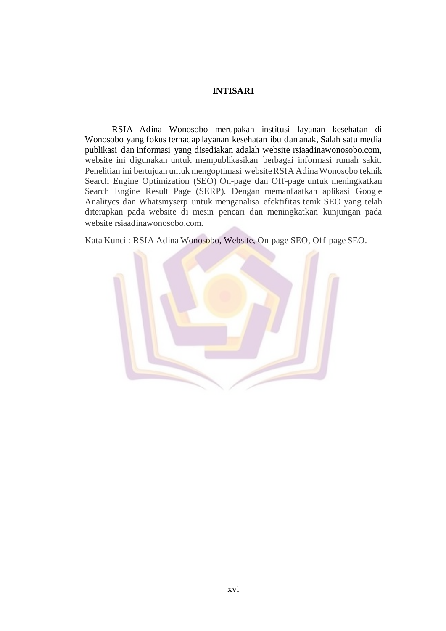## **INTISARI**

RSIA Adina Wonosobo merupakan institusi layanan kesehatan di Wonosobo yang fokus terhadap layanan kesehatan ibu dan anak, Salah satu media publikasi dan informasi yang disediakan adalah website rsiaadinawonosobo.com, website ini digunakan untuk mempublikasikan berbagai informasi rumah sakit. Penelitian ini bertujuan untuk mengoptimasi websiteRSIA Adina Wonosobo teknik Search Engine Optimization (SEO) On-page dan Off-page untuk meningkatkan Search Engine Result Page (SERP). Dengan memanfaatkan aplikasi Google Analitycs dan Whatsmyserp untuk menganalisa efektifitas tenik SEO yang telah diterapkan pada website di mesin pencari dan meningkatkan kunjungan pada website rsiaadinawonosobo.com.

Kata Kunci : RSIA Adina Wonosobo, Website, On-page SEO, Off-page SEO.